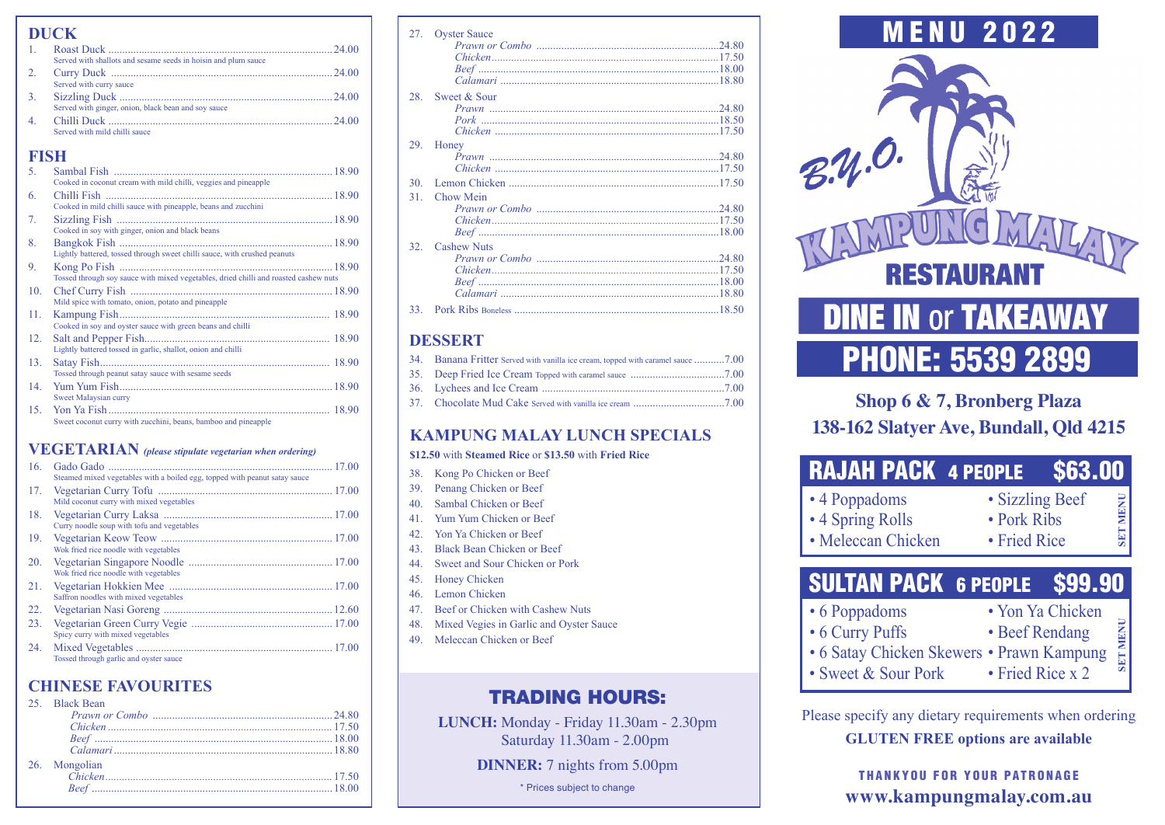| <b>DUCK</b>      |                                                                                                                                   |  |
|------------------|-----------------------------------------------------------------------------------------------------------------------------------|--|
| $\mathbf{1}$     |                                                                                                                                   |  |
| $\overline{2}$ . | Served with shallots and sesame seeds in hoisin and plum sauce<br>Served with curry sauce                                         |  |
| 3.               | 24.00<br>Served with ginger, onion, black bean and sov sauce                                                                      |  |
| 4.               | Served with mild chilli sauce                                                                                                     |  |
| <b>FISH</b>      |                                                                                                                                   |  |
| 5.               |                                                                                                                                   |  |
| 6.               | Cooked in coconut cream with mild chilli, veggies and pineapple<br>Cooked in mild chilli sauce with pineapple, beans and zucchini |  |
| 7 <sub>1</sub>   | Cooked in soy with ginger, onion and black beans                                                                                  |  |
| 8.               | Lightly battered, tossed through sweet chilli sauce, with crushed peanuts                                                         |  |
| 9.               | Tossed through soy sauce with mixed vegetables, dried chilli and roasted cashew nuts                                              |  |
| 10.              | Mild spice with tomato, onion, potato and pineapple                                                                               |  |
| 11.              | Cooked in soy and oyster sauce with green beans and chilli                                                                        |  |
| 12.              | Lightly battered tossed in garlic, shallot, onion and chilli                                                                      |  |
| 13.              | Tossed through peanut satay sauce with sesame seeds                                                                               |  |
| 14.              | Sweet Malaysian curry                                                                                                             |  |
| 15.              | Sweet coconut curry with zucchini, beans, bamboo and pineapple                                                                    |  |

### **VEGETARIAN** *(please stipulate vegetarian when ordering)*

| 16. |                                                                            |  |
|-----|----------------------------------------------------------------------------|--|
|     | Steamed mixed vegetables with a boiled egg, topped with peanut satay sauce |  |
| 17. |                                                                            |  |
|     | Mild coconut curry with mixed vegetables                                   |  |
| 18. |                                                                            |  |
|     | Curry noodle soup with tofu and vegetables                                 |  |
| 19. |                                                                            |  |
|     | Wok fried rice noodle with vegetables                                      |  |
| 20. |                                                                            |  |
|     | Wok fried rice noodle with vegetables                                      |  |
| 21. |                                                                            |  |
|     | Saffron noodles with mixed vegetables                                      |  |
| 22. |                                                                            |  |
| 23. |                                                                            |  |
|     | Spicy curry with mixed vegetables                                          |  |
| 24. |                                                                            |  |
|     | Tossed through garlic and oyster sauce                                     |  |

### **CHINESE FAVOURITES**

|  | 25. Black Bean |  |
|--|----------------|--|
|  |                |  |
|  |                |  |
|  |                |  |
|  |                |  |
|  | 26. Mongolian  |  |
|  |                |  |
|  |                |  |
|  |                |  |

| 27.             | <b>Oyster Sauce</b> |
|-----------------|---------------------|
|                 |                     |
|                 |                     |
|                 |                     |
|                 |                     |
|                 |                     |
| 28              | Sweet & Sour        |
|                 |                     |
|                 |                     |
|                 |                     |
|                 |                     |
| 29.             | Honey               |
|                 |                     |
|                 |                     |
| 30              |                     |
| 31              | Chow Mein           |
|                 |                     |
|                 |                     |
|                 |                     |
|                 |                     |
| 32 <sub>1</sub> | <b>Cashew Nuts</b>  |
|                 |                     |
|                 |                     |
|                 |                     |
|                 |                     |
|                 |                     |
| 33.             |                     |

## **DESSERT**

| 34. Banana Fritter Served with vanilla ice cream, topped with caramel sauce 7.00 |  |
|----------------------------------------------------------------------------------|--|
|                                                                                  |  |
|                                                                                  |  |
|                                                                                  |  |

## **KAMPUNG MALAY LUNCH SPECIALS**

#### **\$12.50** with **Steamed Rice** or **\$13.50** with **Fried Rice**

- 38. Kong Po Chicken or Beef
- 39. Penang Chicken or Beef
- 40. Sambal Chicken or Beef
- 41. Yum Yum Chicken or Beef
- 42. Yon Ya Chicken or Beef
- 43. Black Bean Chicken or Beef
- 44. Sweet and Sour Chicken or Pork
- 45. Honey Chicken
- 46. Lemon Chicken
- 47. Beef or Chicken with Cashew Nuts
- 48. Mixed Vegies in Garlic and Oyster Sauce
- 49. Meleccan Chicken or Beef

# TRADING HOURS:

**LUNCH:** Monday - Friday 11.30am - 2.30pm Saturday 11.30am - 2.00pm

**DINNER:** 7 nights from 5.00pm

\* Prices subject to change



# PHONE: 5539 2899

# **Shop 6 & 7, Bronberg Plaza 138-162 Slatyer Ave, Bundall, Qld 4215**

| <b>RAJAH PACK 4 PEOPLE</b>                              |                                                | \$63.00 |         |
|---------------------------------------------------------|------------------------------------------------|---------|---------|
| • 4 Poppadoms<br>• 4 Spring Rolls<br>• Meleccan Chicken | • Sizzling Beef<br>• Pork Ribs<br>• Fried Rice |         | ET MENI |
| <b>SULTAN PACK 6 PEOPLE \$99.90</b>                     |                                                |         |         |

- 6 Poppadoms Yon Ya Chicken
- 6 Curry Puffs Beef Rendang
	-
- **SET MENU SET MENU** • 6 Satay Chicken Skewers • Prawn Kampung • Sweet & Sour Pork • Fried Rice x 2
	-

Please specify any dietary requirements when ordering **GLUTEN FREE options are available**

> THANKYOU FOR YOUR PATRONAGE **www.kampungmalay.com.au**